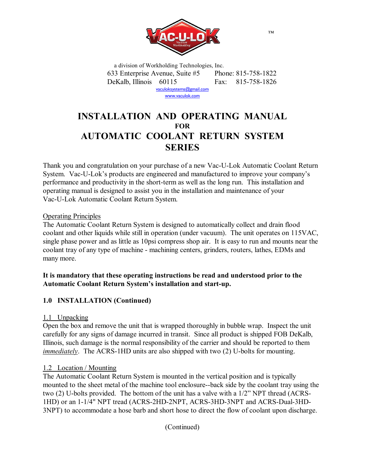

a division of Workholding Technologies, Inc. 633 Enterprise Avenue, Suite #5 Phone: 815-758-1822 DeKalb, Illinois 60115 Fax: 815-758-1826 vaculoksystems@gmail.com

www.vaculok.com

# **INSTALLATION AND OPERATING MANUAL FOR AUTOMATIC COOLANT RETURN SYSTEM SERIES**

Thank you and congratulation on your purchase of a new Vac-U-Lok Automatic Coolant Return System. Vac-U-Lok's products are engineered and manufactured to improve your company's performance and productivity in the short-term as well as the long run. This installation and operating manual is designed to assist you in the installation and maintenance of your Vac-U-Lok Automatic Coolant Return System.

# Operating Principles

The Automatic Coolant Return System is designed to automatically collect and drain flood coolant and other liquids while still in operation (under vacuum). The unit operates on 115VAC, single phase power and as little as 10psi compress shop air. It is easy to run and mounts near the coolant tray of any type of machine - machining centers, grinders, routers, lathes, EDMs and many more.

# **It is mandatory that these operating instructions be read and understood prior to the Automatic Coolant Return System's installation and start-up.**

# **1.0 INSTALLATION (Continued)**

# 1.1 Unpacking

Open the box and remove the unit that is wrapped thoroughly in bubble wrap. Inspect the unit carefully for any signs of damage incurred in transit. Since all product is shipped FOB DeKalb, Illinois, such damage is the normal responsibility of the carrier and should be reported to them *immediately*. The ACRS-1HD units are also shipped with two (2) U-bolts for mounting.

# 1.2 Location / Mounting

The Automatic Coolant Return System is mounted in the vertical position and is typically mounted to the sheet metal of the machine tool enclosure--back side by the coolant tray using the two (2) U-bolts provided. The bottom of the unit has a valve with a 1/2" NPT thread (ACRS-1HD) or an 1-1/4" NPT tread (ACRS-2HD-2NPT, ACRS-3HD-3NPT and ACRS-Dual-3HD-3NPT) to accommodate a hose barb and short hose to direct the flow of coolant upon discharge.

™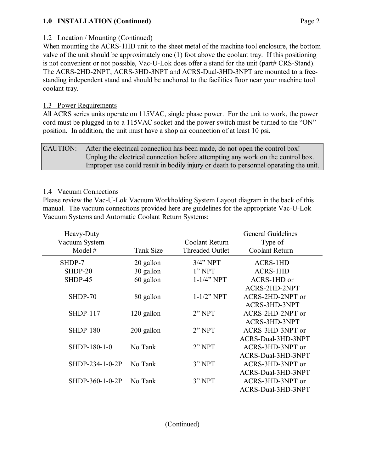# **1.0 INSTALLATION (Continued)** Page 2

## 1.2 Location / Mounting (Continued)

When mounting the ACRS-1HD unit to the sheet metal of the machine tool enclosure, the bottom valve of the unit should be approximately one (1) foot above the coolant tray. If this positioning is not convenient or not possible, Vac-U-Lok does offer a stand for the unit (part# CRS-Stand). The ACRS-2HD-2NPT, ACRS-3HD-3NPT and ACRS-Dual-3HD-3NPT are mounted to a freestanding independent stand and should be anchored to the facilities floor near your machine tool coolant tray.

#### 1.3 Power Requirements

All ACRS series units operate on 115VAC, single phase power. For the unit to work, the power cord must be plugged-in to a 115VAC socket and the power switch must be turned to the "ON" position. In addition, the unit must have a shop air connection of at least 10 psi.

# CAUTION: After the electrical connection has been made, do not open the control box! Unplug the electrical connection before attempting any work on the control box. Improper use could result in bodily injury or death to personnel operating the unit.

#### 1.4 Vacuum Connections

Please review the Vac-U-Lok Vacuum Workholding System Layout diagram in the back of this manual. The vacuum connections provided here are guidelines for the appropriate Vac-U-Lok Vacuum Systems and Automatic Coolant Return Systems:

|            |                        | <b>General Guidelines</b> |
|------------|------------------------|---------------------------|
|            | Coolant Return         | Type of                   |
| Tank Size  | <b>Threaded Outlet</b> | Coolant Return            |
| 20 gallon  | $3/4$ " NPT            | <b>ACRS-1HD</b>           |
| 30 gallon  | 1"NPT                  | <b>ACRS-1HD</b>           |
| 60 gallon  | $1 - 1/4$ " NPT        | ACRS-1HD or               |
|            |                        | ACRS-2HD-2NPT             |
| 80 gallon  | $1 - 1/2$ " NPT        | ACRS-2HD-2NPT or          |
|            |                        | ACRS-3HD-3NPT             |
| 120 gallon | 2"NPT                  | ACRS-2HD-2NPT or          |
|            |                        | ACRS-3HD-3NPT             |
| 200 gallon | 2"NPT                  | ACRS-3HD-3NPT or          |
|            |                        | ACRS-Dual-3HD-3NPT        |
| No Tank    | 2"NPT                  | ACRS-3HD-3NPT or          |
|            |                        | ACRS-Dual-3HD-3NPT        |
| No Tank    | 3" NPT                 | ACRS-3HD-3NPT or          |
|            |                        | ACRS-Dual-3HD-3NPT        |
| No Tank    | 3"NPT                  | ACRS-3HD-3NPT or          |
|            |                        | ACRS-Dual-3HD-3NPT        |
|            |                        |                           |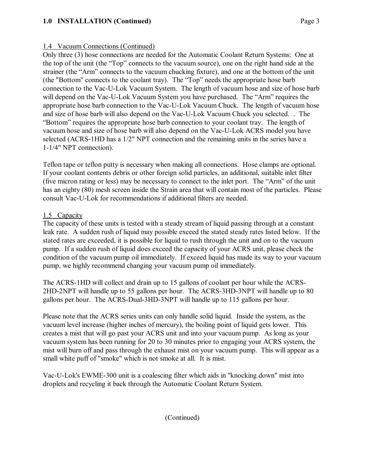# **1.0 INSTALLATION (Continued)** Page 3

# 1.4 Vacuum Connections (Continued)

Only three (3) hose connections are needed for the Automatic Coolant Return Systems: One at the top of the unit (the "Top" connects to the vacuum source), one on the right hand side at the strainer (the "Arm" connects to the vacuum chucking fixture), and one at the bottom of the unit (the "Bottom" connects to the coolant tray). The "Top" needs the appropriate hose barb connection to the Vac-U-Lok Vacuum System. The length of vacuum hose and size of hose barb will depend on the Vac-U-Lok Vacuum System you have purchased. The "Arm" requires the appropriate hose barb connection to the Vac-U-Lok Vacuum Chuck. The length of vacuum hose and size of hose barb will also depend on the Vac-U-Lok Vacuum Chuck you selected. . The "Bottom" requires the appropriate hose barb connection to your coolant tray. The length of vacuum hose and size of hose barb will also depend on the Vac-U-Lok ACRS model you have selected (ACRS-1HD has a 1/2" NPT connection and the remaining units in the series have a 1-1/4" NPT connection).

Teflon tape or teflon putty is necessary when making all connections. Hose clamps are optional. If your coolant contents debris or other foreign solid particles, an additional, suitable inlet filter (five micron rating or less) may be necessary to connect to the inlet port. The "Arm" of the unit has an eighty (80) mesh screen inside the Strain area that will contain most of the particles. Please consult Vac-U-Lok for recommendations if additional filters are needed.

#### 1.5 Capacity

The capacity of these units is tested with a steady stream of liquid passing through at a constant leak rate. A sudden rush of liquid may possible exceed the stated steady rates listed below. If the stated rates are exceeded, it is possible for liquid to rush through the unit and on to the vacuum pump. If a sudden rush of liquid does exceed the capacity of your ACRS unit, please check the condition of the vacuum pump oil immediately. If exceed liquid has made its way to your vacuum pump, we highly recommend changing your vacuum pump oil immediately.

The ACRS-1HD will collect and drain up to 15 gallons of coolant per hour while the ACRS-2HD-2NPT will handle up to 55 gallons per hour. The ACRS-3HD-3NPT will handle up to 80 gallons per hour. The ACRS-Dual-3HD-3NPT will handle up to 115 gallons per hour.

Please note that the ACRS series units can only handle solid liquid. Inside the system, as the vacuum level increase (higher inches of mercury), the boiling point of liquid gets lower. This creates a mist that will go past your ACRS unit and into your vacuum pump. As long as your vacuum system has been running for 20 to 30 minutes prior to engaging your ACRS system, the mist will burn off and pass through the exhaust mist on your vacuum pump. This will appear as a small white puff of "smoke" which is not smoke at all. It is mist.

Vac-U-Lok's EWME-300 unit is a coalescing filter which aids in "knocking down" mist into droplets and recycling it back through the Automatic Coolant Return System.

(Continued)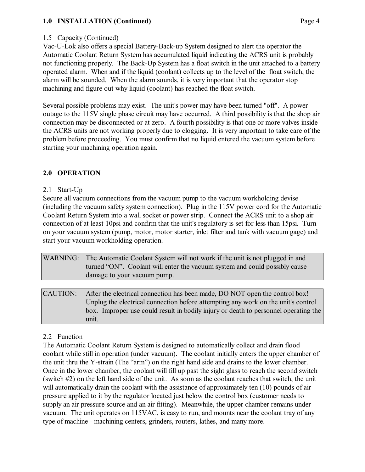# **1.0 INSTALLATION (Continued)** Page 4

# 1.5 Capacity (Continued)

Vac-U-Lok also offers a special Battery-Back-up System designed to alert the operator the Automatic Coolant Return System has accumulated liquid indicating the ACRS unit is probably not functioning properly. The Back-Up System has a float switch in the unit attached to a battery operated alarm. When and if the liquid (coolant) collects up to the level of the float switch, the alarm will be sounded. When the alarm sounds, it is very important that the operator stop machining and figure out why liquid (coolant) has reached the float switch.

Several possible problems may exist. The unit's power may have been turned "off". A power outage to the 115V single phase circuit may have occurred. A third possibility is that the shop air connection may be disconnected or at zero. A fourth possibility is that one or more valves inside the ACRS units are not working properly due to clogging. It is very important to take care of the problem before proceeding. You must confirm that no liquid entered the vacuum system before starting your machining operation again.

# **2.0 OPERATION**

#### 2.1 Start-Up

Secure all vacuum connections from the vacuum pump to the vacuum workholding devise (including the vacuum safety system connection). Plug in the 115V power cord for the Automatic Coolant Return System into a wall socket or power strip. Connect the ACRS unit to a shop air connection of at least 10psi and confirm that the unit's regulatory is set for less than 15psi. Turn on your vacuum system (pump, motor, motor starter, inlet filter and tank with vacuum gage) and start your vacuum workholding operation.

WARNING: The Automatic Coolant System will not work if the unit is not plugged in and turned "ON". Coolant will enter the vacuum system and could possibly cause damage to your vacuum pump.

CAUTION: After the electrical connection has been made, DO NOT open the control box! Unplug the electrical connection before attempting any work on the unit's control box. Improper use could result in bodily injury or death to personnel operating the unit.

# 2.2 Function

The Automatic Coolant Return System is designed to automatically collect and drain flood coolant while still in operation (under vacuum). The coolant initially enters the upper chamber of the unit thru the Y-strain (The "arm") on the right hand side and drains to the lower chamber. Once in the lower chamber, the coolant will fill up past the sight glass to reach the second switch (switch #2) on the left hand side of the unit. As soon as the coolant reaches that switch, the unit will automatically drain the coolant with the assistance of approximately ten (10) pounds of air pressure applied to it by the regulator located just below the control box (customer needs to supply an air pressure source and an air fitting). Meanwhile, the upper chamber remains under vacuum. The unit operates on 115VAC, is easy to run, and mounts near the coolant tray of any type of machine - machining centers, grinders, routers, lathes, and many more.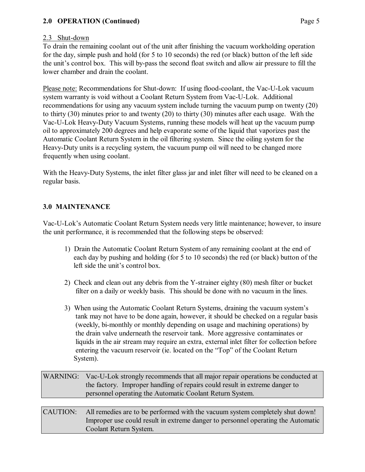# **2.0 OPERATION (Continued)** Page 5

# 2.3 Shut-down

To drain the remaining coolant out of the unit after finishing the vacuum workholding operation for the day, simple push and hold (for 5 to 10 seconds) the red (or black) button of the left side the unit's control box. This will by-pass the second float switch and allow air pressure to fill the lower chamber and drain the coolant.

Please note: Recommendations for Shut-down: If using flood-coolant, the Vac-U-Lok vacuum system warranty is void without a Coolant Return System from Vac-U-Lok. Additional recommendations for using any vacuum system include turning the vacuum pump on twenty (20) to thirty (30) minutes prior to and twenty (20) to thirty (30) minutes after each usage. With the Vac-U-Lok Heavy-Duty Vacuum Systems, running these models will heat up the vacuum pump oil to approximately 200 degrees and help evaporate some of the liquid that vaporizes past the Automatic Coolant Return System in the oil filtering system. Since the oiling system for the Heavy-Duty units is a recycling system, the vacuum pump oil will need to be changed more frequently when using coolant.

With the Heavy-Duty Systems, the inlet filter glass jar and inlet filter will need to be cleaned on a regular basis.

# **3.0 MAINTENANCE**

Vac-U-Lok's Automatic Coolant Return System needs very little maintenance; however, to insure the unit performance, it is recommended that the following steps be observed:

- 1) Drain the Automatic Coolant Return System of any remaining coolant at the end of each day by pushing and holding (for 5 to 10 seconds) the red (or black) button of the left side the unit's control box.
- 2) Check and clean out any debris from the Y-strainer eighty (80) mesh filter or bucket filter on a daily or weekly basis. This should be done with no vacuum in the lines.
- 3) When using the Automatic Coolant Return Systems, draining the vacuum system's tank may not have to be done again, however, it should be checked on a regular basis (weekly, bi-monthly or monthly depending on usage and machining operations) by the drain valve underneath the reservoir tank. More aggressive contaminates or liquids in the air stream may require an extra, external inlet filter for collection before entering the vacuum reservoir (ie. located on the "Top" of the Coolant Return System).

| WARNING: Vac-U-Lok strongly recommends that all major repair operations be conducted at |
|-----------------------------------------------------------------------------------------|
| the factory. Improper handling of repairs could result in extreme danger to             |
| personnel operating the Automatic Coolant Return System.                                |

CAUTION: All remedies are to be performed with the vacuum system completely shut down! Improper use could result in extreme danger to personnel operating the Automatic Coolant Return System.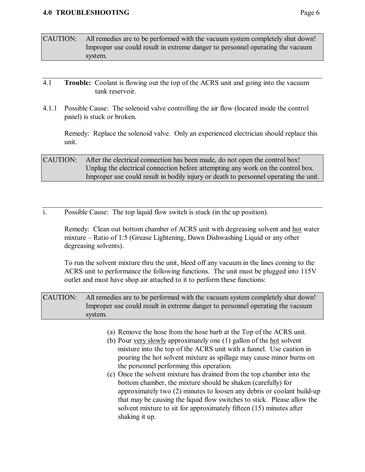#### **4.0 TROUBLESHOOTING** Page 6

- CAUTION: All remedies are to be performed with the vacuum system completely shut down! Improper use could result in extreme danger to personnel operating the vacuum system.
- 4.1 **Trouble:** Coolant is flowing out the top of the ACRS unit and going into the vacuum tank reservoir.
- 4.1.1 Possible Cause: The solenoid valve controlling the air flow (located inside the control panel) is stuck or broken.

Remedy: Replace the solenoid valve. Only an experienced electrician should replace this unit.

# CAUTION: After the electrical connection has been made, do not open the control box! Unplug the electrical connection before attempting any work on the control box. Improper use could result in bodily injury or death to personnel operating the unit.

i. Possible Cause: The top liquid flow switch is stuck (in the up position).

Remedy: Clean out bottom chamber of ACRS unit with degreasing solvent and hot water mixture – Ratio of 1:5 (Grease Lightening, Dawn Dishwashing Liquid or any other degreasing solvents).

To run the solvent mixture thru the unit, bleed off any vacuum in the lines coming to the ACRS unit to performance the following functions. The unit must be plugged into 115V outlet and must have shop air attached to it to perform these functions:

CAUTION: All remedies are to be performed with the vacuum system completely shut down! Improper use could result in extreme danger to personnel operating the vacuum system.

- (a) Remove the hose from the hose barb at the Top of the ACRS unit.
- (b) Pour very slowly approximately one (1) gallon of the hot solvent mixture into the top of the ACRS unit with a funnel. Use caution in pouring the hot solvent mixture as spillage may cause minor burns on the personnel performing this operation.
- (c) Once the solvent mixture has drained from the top chamber into the bottom chamber, the mixture should be shaken (carefully) for approximately two (2) minutes to loosen any debris or coolant build-up that may be causing the liquid flow switches to stick. Please allow the solvent mixture to sit for approximately fifteen (15) minutes after shaking it up.